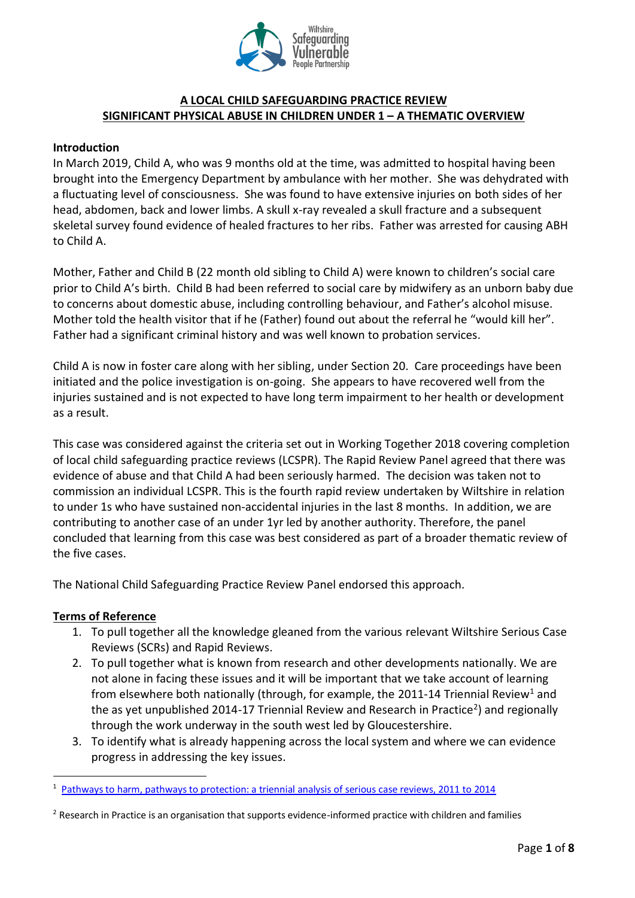

### **A LOCAL CHILD SAFEGUARDING PRACTICE REVIEW SIGNIFICANT PHYSICAL ABUSE IN CHILDREN UNDER 1 – A THEMATIC OVERVIEW**

#### **Introduction**

In March 2019, Child A, who was 9 months old at the time, was admitted to hospital having been brought into the Emergency Department by ambulance with her mother. She was dehydrated with a fluctuating level of consciousness. She was found to have extensive injuries on both sides of her head, abdomen, back and lower limbs. A skull x-ray revealed a skull fracture and a subsequent skeletal survey found evidence of healed fractures to her ribs. Father was arrested for causing ABH to Child A.

Mother, Father and Child B (22 month old sibling to Child A) were known to children's social care prior to Child A's birth. Child B had been referred to social care by midwifery as an unborn baby due to concerns about domestic abuse, including controlling behaviour, and Father's alcohol misuse. Mother told the health visitor that if he (Father) found out about the referral he "would kill her". Father had a significant criminal history and was well known to probation services.

Child A is now in foster care along with her sibling, under Section 20. Care proceedings have been initiated and the police investigation is on-going. She appears to have recovered well from the injuries sustained and is not expected to have long term impairment to her health or development as a result.

This case was considered against the criteria set out in Working Together 2018 covering completion of local child safeguarding practice reviews (LCSPR). The Rapid Review Panel agreed that there was evidence of abuse and that Child A had been seriously harmed. The decision was taken not to commission an individual LCSPR. This is the fourth rapid review undertaken by Wiltshire in relation to under 1s who have sustained non-accidental injuries in the last 8 months. In addition, we are contributing to another case of an under 1yr led by another authority. Therefore, the panel concluded that learning from this case was best considered as part of a broader thematic review of the five cases.

The National Child Safeguarding Practice Review Panel endorsed this approach.

#### **Terms of Reference**

 $\overline{a}$ 

- 1. To pull together all the knowledge gleaned from the various relevant Wiltshire Serious Case Reviews (SCRs) and Rapid Reviews.
- 2. To pull together what is known from research and other developments nationally. We are not alone in facing these issues and it will be important that we take account of learning from elsewhere both nationally (through, for example, the 2011-14 Triennial Review<sup>1</sup> and the as yet unpublished 2014-17 Triennial Review and Research in Practice<sup>2</sup>) and regionally through the work underway in the south west led by Gloucestershire.
- 3. To identify what is already happening across the local system and where we can evidence progress in addressing the key issues.

<sup>1</sup> [Pathways to harm, pathways to protection: a triennial analysis of serious case reviews, 2011 to 2014](https://www.google.com/url?sa=t&rct=j&q=&esrc=s&source=web&cd=2&cad=rja&uact=8&ved=2ahUKEwifvM-Ul4DlAhXJasAKHXd5Ct4QFjABegQIAhAB&url=https%3A%2F%2Fwww.gov.uk%2Fgovernment%2Fpublications%2Fanalysis-of-serious-case-reviews-2011-to-2014&usg=AOvVaw1b2WeNybEVT8myVUNI02Ny) 

<sup>&</sup>lt;sup>2</sup> Research in Practice is an organisation that supports evidence-informed practice with children and families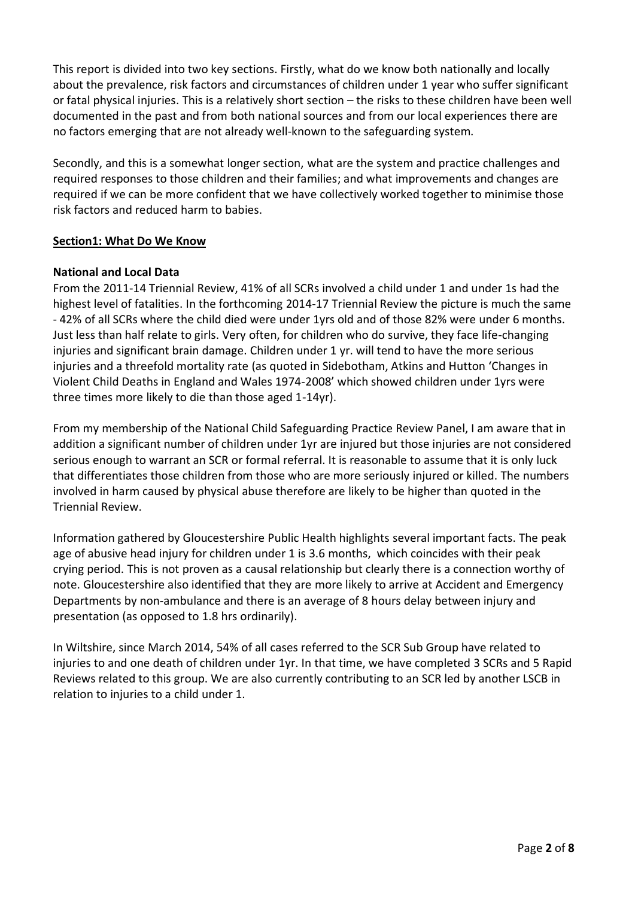This report is divided into two key sections. Firstly, what do we know both nationally and locally about the prevalence, risk factors and circumstances of children under 1 year who suffer significant or fatal physical injuries. This is a relatively short section – the risks to these children have been well documented in the past and from both national sources and from our local experiences there are no factors emerging that are not already well-known to the safeguarding system.

Secondly, and this is a somewhat longer section, what are the system and practice challenges and required responses to those children and their families; and what improvements and changes are required if we can be more confident that we have collectively worked together to minimise those risk factors and reduced harm to babies.

### **Section1: What Do We Know**

### **National and Local Data**

From the 2011-14 Triennial Review, 41% of all SCRs involved a child under 1 and under 1s had the highest level of fatalities. In the forthcoming 2014-17 Triennial Review the picture is much the same - 42% of all SCRs where the child died were under 1yrs old and of those 82% were under 6 months. Just less than half relate to girls. Very often, for children who do survive, they face life-changing injuries and significant brain damage. Children under 1 yr. will tend to have the more serious injuries and a threefold mortality rate (as quoted in Sidebotham, Atkins and Hutton 'Changes in Violent Child Deaths in England and Wales 1974-2008' which showed children under 1yrs were three times more likely to die than those aged 1-14yr).

From my membership of the National Child Safeguarding Practice Review Panel, I am aware that in addition a significant number of children under 1yr are injured but those injuries are not considered serious enough to warrant an SCR or formal referral. It is reasonable to assume that it is only luck that differentiates those children from those who are more seriously injured or killed. The numbers involved in harm caused by physical abuse therefore are likely to be higher than quoted in the Triennial Review.

Information gathered by Gloucestershire Public Health highlights several important facts. The peak age of abusive head injury for children under 1 is 3.6 months, which coincides with their peak crying period. This is not proven as a causal relationship but clearly there is a connection worthy of note. Gloucestershire also identified that they are more likely to arrive at Accident and Emergency Departments by non-ambulance and there is an average of 8 hours delay between injury and presentation (as opposed to 1.8 hrs ordinarily).

In Wiltshire, since March 2014, 54% of all cases referred to the SCR Sub Group have related to injuries to and one death of children under 1yr. In that time, we have completed 3 SCRs and 5 Rapid Reviews related to this group. We are also currently contributing to an SCR led by another LSCB in relation to injuries to a child under 1.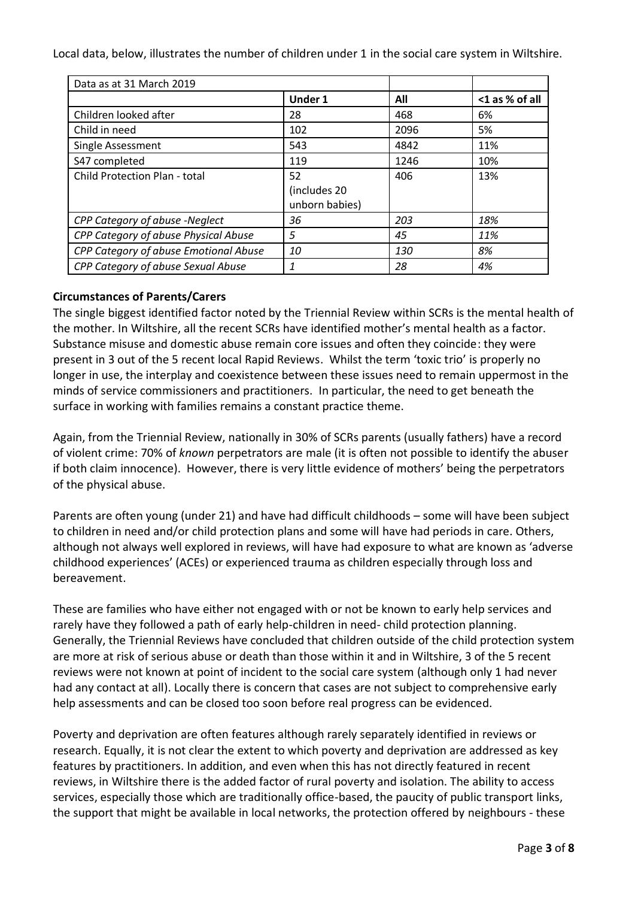Local data, below, illustrates the number of children under 1 in the social care system in Wiltshire.

| Data as at 31 March 2019              |                                      |      |                |
|---------------------------------------|--------------------------------------|------|----------------|
|                                       | <b>Under 1</b>                       | All  | <1 as % of all |
| Children looked after                 | 28                                   | 468  | 6%             |
| Child in need                         | 102                                  | 2096 | 5%             |
| Single Assessment                     | 543                                  | 4842 | 11%            |
| S47 completed                         | 119                                  | 1246 | 10%            |
| <b>Child Protection Plan - total</b>  | 52<br>(includes 20<br>unborn babies) | 406  | 13%            |
| CPP Category of abuse -Neglect        | 36                                   | 203  | 18%            |
| CPP Category of abuse Physical Abuse  | 5                                    | 45   | 11%            |
| CPP Category of abuse Emotional Abuse | 10                                   | 130  | 8%             |
| CPP Category of abuse Sexual Abuse    | $\mathbf{1}$                         | 28   | 4%             |

# **Circumstances of Parents/Carers**

The single biggest identified factor noted by the Triennial Review within SCRs is the mental health of the mother. In Wiltshire, all the recent SCRs have identified mother's mental health as a factor. Substance misuse and domestic abuse remain core issues and often they coincide: they were present in 3 out of the 5 recent local Rapid Reviews. Whilst the term 'toxic trio' is properly no longer in use, the interplay and coexistence between these issues need to remain uppermost in the minds of service commissioners and practitioners. In particular, the need to get beneath the surface in working with families remains a constant practice theme.

Again, from the Triennial Review, nationally in 30% of SCRs parents (usually fathers) have a record of violent crime: 70% of *known* perpetrators are male (it is often not possible to identify the abuser if both claim innocence). However, there is very little evidence of mothers' being the perpetrators of the physical abuse.

Parents are often young (under 21) and have had difficult childhoods – some will have been subject to children in need and/or child protection plans and some will have had periods in care. Others, although not always well explored in reviews, will have had exposure to what are known as 'adverse childhood experiences' (ACEs) or experienced trauma as children especially through loss and bereavement.

These are families who have either not engaged with or not be known to early help services and rarely have they followed a path of early help-children in need- child protection planning. Generally, the Triennial Reviews have concluded that children outside of the child protection system are more at risk of serious abuse or death than those within it and in Wiltshire, 3 of the 5 recent reviews were not known at point of incident to the social care system (although only 1 had never had any contact at all). Locally there is concern that cases are not subject to comprehensive early help assessments and can be closed too soon before real progress can be evidenced.

Poverty and deprivation are often features although rarely separately identified in reviews or research. Equally, it is not clear the extent to which poverty and deprivation are addressed as key features by practitioners. In addition, and even when this has not directly featured in recent reviews, in Wiltshire there is the added factor of rural poverty and isolation. The ability to access services, especially those which are traditionally office-based, the paucity of public transport links, the support that might be available in local networks, the protection offered by neighbours - these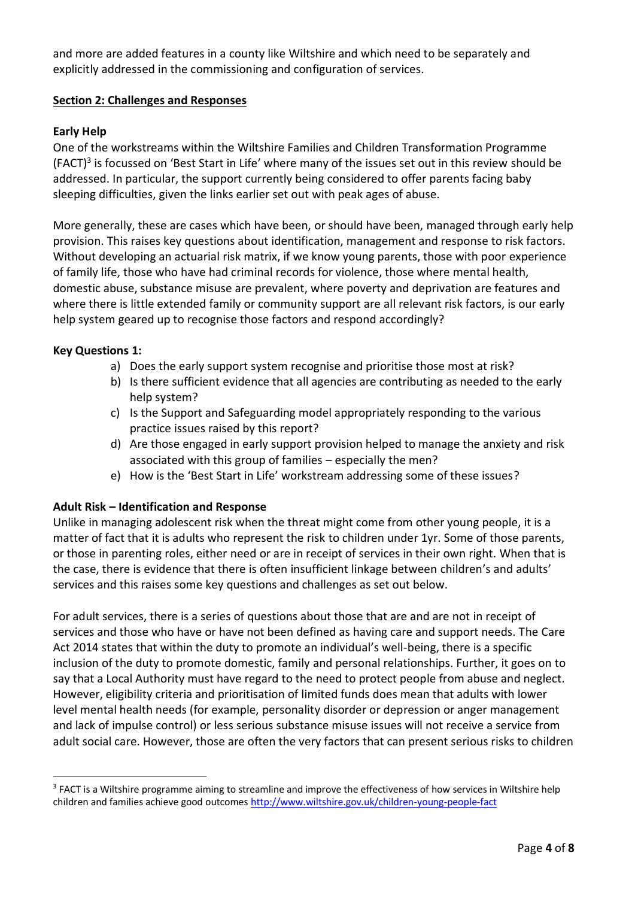and more are added features in a county like Wiltshire and which need to be separately and explicitly addressed in the commissioning and configuration of services.

# **Section 2: Challenges and Responses**

### **Early Help**

One of the workstreams within the Wiltshire Families and Children Transformation Programme (FACT) 3 is focussed on 'Best Start in Life' where many of the issues set out in this review should be addressed. In particular, the support currently being considered to offer parents facing baby sleeping difficulties, given the links earlier set out with peak ages of abuse.

More generally, these are cases which have been, or should have been, managed through early help provision. This raises key questions about identification, management and response to risk factors. Without developing an actuarial risk matrix, if we know young parents, those with poor experience of family life, those who have had criminal records for violence, those where mental health, domestic abuse, substance misuse are prevalent, where poverty and deprivation are features and where there is little extended family or community support are all relevant risk factors, is our early help system geared up to recognise those factors and respond accordingly?

#### **Key Questions 1:**

 $\overline{a}$ 

- a) Does the early support system recognise and prioritise those most at risk?
- b) Is there sufficient evidence that all agencies are contributing as needed to the early help system?
- c) Is the Support and Safeguarding model appropriately responding to the various practice issues raised by this report?
- d) Are those engaged in early support provision helped to manage the anxiety and risk associated with this group of families – especially the men?
- e) How is the 'Best Start in Life' workstream addressing some of these issues?

#### **Adult Risk – Identification and Response**

Unlike in managing adolescent risk when the threat might come from other young people, it is a matter of fact that it is adults who represent the risk to children under 1yr. Some of those parents, or those in parenting roles, either need or are in receipt of services in their own right. When that is the case, there is evidence that there is often insufficient linkage between children's and adults' services and this raises some key questions and challenges as set out below.

For adult services, there is a series of questions about those that are and are not in receipt of services and those who have or have not been defined as having care and support needs. The Care Act 2014 states that within the duty to promote an individual's well-being, there is a specific inclusion of the duty to promote domestic, family and personal relationships. Further, it goes on to say that a Local Authority must have regard to the need to protect people from abuse and neglect. However, eligibility criteria and prioritisation of limited funds does mean that adults with lower level mental health needs (for example, personality disorder or depression or anger management and lack of impulse control) or less serious substance misuse issues will not receive a service from adult social care. However, those are often the very factors that can present serious risks to children

 $3$  FACT is a Wiltshire programme aiming to streamline and improve the effectiveness of how services in Wiltshire help children and families achieve good outcomes<http://www.wiltshire.gov.uk/children-young-people-fact>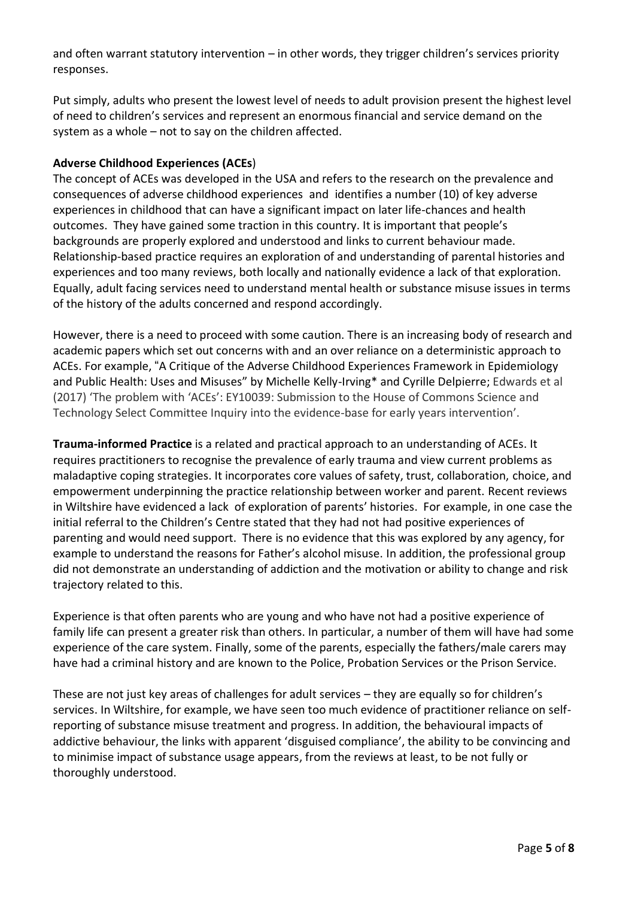and often warrant statutory intervention – in other words, they trigger children's services priority responses.

Put simply, adults who present the lowest level of needs to adult provision present the highest level of need to children's services and represent an enormous financial and service demand on the system as a whole – not to say on the children affected.

# **Adverse Childhood Experiences (ACEs**)

The concept of ACEs was developed in the USA and refers to the research on the prevalence and consequences of adverse childhood experiences and identifies a number (10) of key adverse experiences in childhood that can have a significant impact on later life-chances and health outcomes. They have gained some traction in this country. It is important that people's backgrounds are properly explored and understood and links to current behaviour made. Relationship-based practice requires an exploration of and understanding of parental histories and experiences and too many reviews, both locally and nationally evidence a lack of that exploration. Equally, adult facing services need to understand mental health or substance misuse issues in terms of the history of the adults concerned and respond accordingly.

However, there is a need to proceed with some caution. There is an increasing body of research and academic papers which set out concerns with and an over reliance on a deterministic approach to ACEs. For example, "A Critique of the Adverse Childhood Experiences Framework in Epidemiology and Public Health: Uses and Misuses" by Michelle Kelly-Irving\* and Cyrille Delpierre; Edwards et al (2017) 'The problem with 'ACEs': EY10039: Submission to the House of Commons Science and Technology Select Committee Inquiry into the evidence-base for early years intervention'.

**Trauma-informed Practice** is a related and practical approach to an understanding of ACEs. It requires practitioners to recognise the prevalence of early trauma and view current problems as maladaptive coping strategies. It incorporates core values of safety, trust, collaboration, choice, and empowerment underpinning the practice relationship between worker and parent. Recent reviews in Wiltshire have evidenced a lack of exploration of parents' histories. For example, in one case the initial referral to the Children's Centre stated that they had not had positive experiences of parenting and would need support. There is no evidence that this was explored by any agency, for example to understand the reasons for Father's alcohol misuse. In addition, the professional group did not demonstrate an understanding of addiction and the motivation or ability to change and risk trajectory related to this.

Experience is that often parents who are young and who have not had a positive experience of family life can present a greater risk than others. In particular, a number of them will have had some experience of the care system. Finally, some of the parents, especially the fathers/male carers may have had a criminal history and are known to the Police, Probation Services or the Prison Service.

These are not just key areas of challenges for adult services – they are equally so for children's services. In Wiltshire, for example, we have seen too much evidence of practitioner reliance on selfreporting of substance misuse treatment and progress. In addition, the behavioural impacts of addictive behaviour, the links with apparent 'disguised compliance', the ability to be convincing and to minimise impact of substance usage appears, from the reviews at least, to be not fully or thoroughly understood.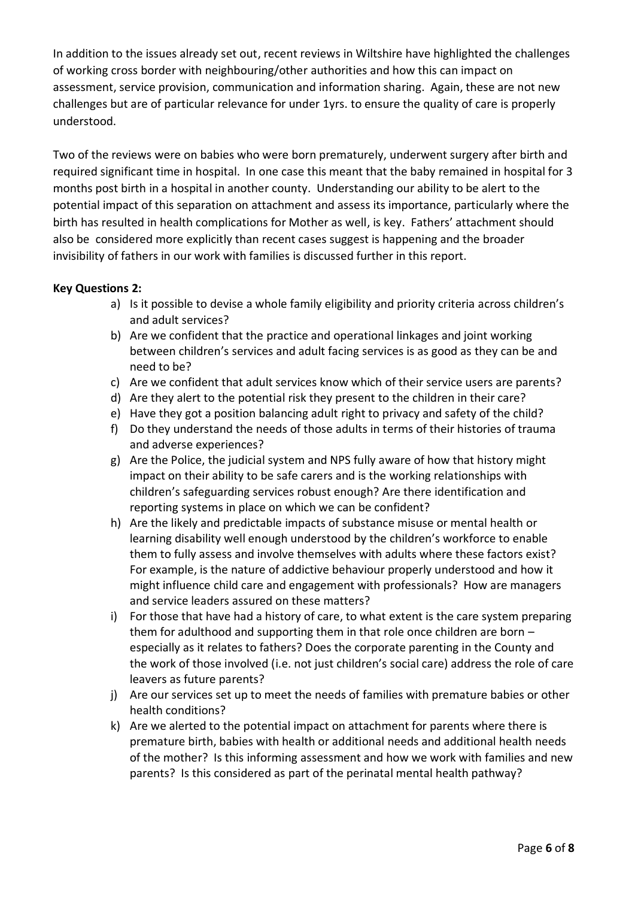In addition to the issues already set out, recent reviews in Wiltshire have highlighted the challenges of working cross border with neighbouring/other authorities and how this can impact on assessment, service provision, communication and information sharing. Again, these are not new challenges but are of particular relevance for under 1yrs. to ensure the quality of care is properly understood.

Two of the reviews were on babies who were born prematurely, underwent surgery after birth and required significant time in hospital. In one case this meant that the baby remained in hospital for 3 months post birth in a hospital in another county. Understanding our ability to be alert to the potential impact of this separation on attachment and assess its importance, particularly where the birth has resulted in health complications for Mother as well, is key. Fathers' attachment should also be considered more explicitly than recent cases suggest is happening and the broader invisibility of fathers in our work with families is discussed further in this report.

# **Key Questions 2:**

- a) Is it possible to devise a whole family eligibility and priority criteria across children's and adult services?
- b) Are we confident that the practice and operational linkages and joint working between children's services and adult facing services is as good as they can be and need to be?
- c) Are we confident that adult services know which of their service users are parents?
- d) Are they alert to the potential risk they present to the children in their care?
- e) Have they got a position balancing adult right to privacy and safety of the child?
- f) Do they understand the needs of those adults in terms of their histories of trauma and adverse experiences?
- g) Are the Police, the judicial system and NPS fully aware of how that history might impact on their ability to be safe carers and is the working relationships with children's safeguarding services robust enough? Are there identification and reporting systems in place on which we can be confident?
- h) Are the likely and predictable impacts of substance misuse or mental health or learning disability well enough understood by the children's workforce to enable them to fully assess and involve themselves with adults where these factors exist? For example, is the nature of addictive behaviour properly understood and how it might influence child care and engagement with professionals? How are managers and service leaders assured on these matters?
- i) For those that have had a history of care, to what extent is the care system preparing them for adulthood and supporting them in that role once children are born – especially as it relates to fathers? Does the corporate parenting in the County and the work of those involved (i.e. not just children's social care) address the role of care leavers as future parents?
- j) Are our services set up to meet the needs of families with premature babies or other health conditions?
- k) Are we alerted to the potential impact on attachment for parents where there is premature birth, babies with health or additional needs and additional health needs of the mother? Is this informing assessment and how we work with families and new parents? Is this considered as part of the perinatal mental health pathway?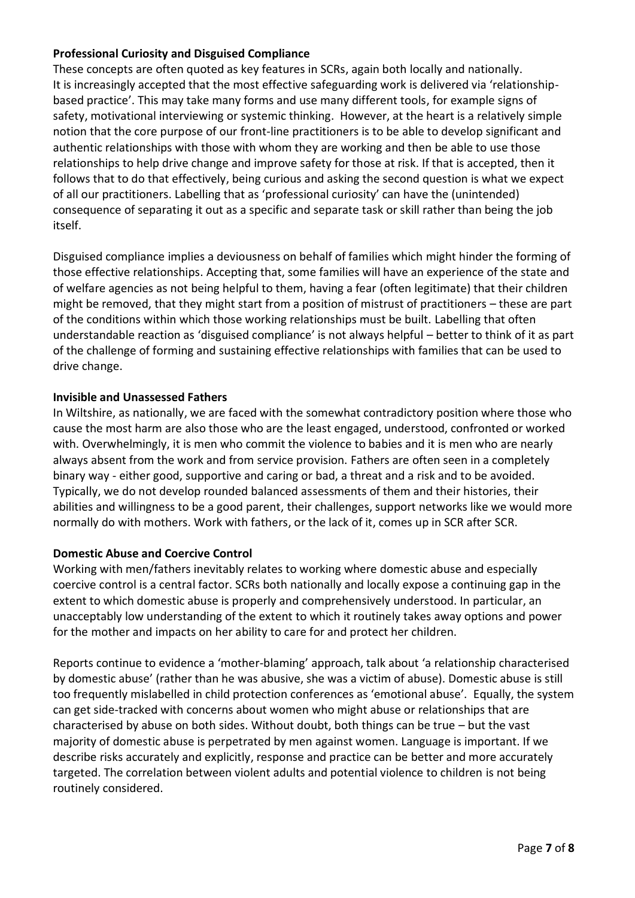# **Professional Curiosity and Disguised Compliance**

These concepts are often quoted as key features in SCRs, again both locally and nationally. It is increasingly accepted that the most effective safeguarding work is delivered via 'relationshipbased practice'. This may take many forms and use many different tools, for example signs of safety, motivational interviewing or systemic thinking. However, at the heart is a relatively simple notion that the core purpose of our front-line practitioners is to be able to develop significant and authentic relationships with those with whom they are working and then be able to use those relationships to help drive change and improve safety for those at risk. If that is accepted, then it follows that to do that effectively, being curious and asking the second question is what we expect of all our practitioners. Labelling that as 'professional curiosity' can have the (unintended) consequence of separating it out as a specific and separate task or skill rather than being the job itself.

Disguised compliance implies a deviousness on behalf of families which might hinder the forming of those effective relationships. Accepting that, some families will have an experience of the state and of welfare agencies as not being helpful to them, having a fear (often legitimate) that their children might be removed, that they might start from a position of mistrust of practitioners – these are part of the conditions within which those working relationships must be built. Labelling that often understandable reaction as 'disguised compliance' is not always helpful – better to think of it as part of the challenge of forming and sustaining effective relationships with families that can be used to drive change.

#### **Invisible and Unassessed Fathers**

In Wiltshire, as nationally, we are faced with the somewhat contradictory position where those who cause the most harm are also those who are the least engaged, understood, confronted or worked with. Overwhelmingly, it is men who commit the violence to babies and it is men who are nearly always absent from the work and from service provision. Fathers are often seen in a completely binary way - either good, supportive and caring or bad, a threat and a risk and to be avoided. Typically, we do not develop rounded balanced assessments of them and their histories, their abilities and willingness to be a good parent, their challenges, support networks like we would more normally do with mothers. Work with fathers, or the lack of it, comes up in SCR after SCR.

#### **Domestic Abuse and Coercive Control**

Working with men/fathers inevitably relates to working where domestic abuse and especially coercive control is a central factor. SCRs both nationally and locally expose a continuing gap in the extent to which domestic abuse is properly and comprehensively understood. In particular, an unacceptably low understanding of the extent to which it routinely takes away options and power for the mother and impacts on her ability to care for and protect her children.

Reports continue to evidence a 'mother-blaming' approach, talk about 'a relationship characterised by domestic abuse' (rather than he was abusive, she was a victim of abuse). Domestic abuse is still too frequently mislabelled in child protection conferences as 'emotional abuse'. Equally, the system can get side-tracked with concerns about women who might abuse or relationships that are characterised by abuse on both sides. Without doubt, both things can be true – but the vast majority of domestic abuse is perpetrated by men against women. Language is important. If we describe risks accurately and explicitly, response and practice can be better and more accurately targeted. The correlation between violent adults and potential violence to children is not being routinely considered.